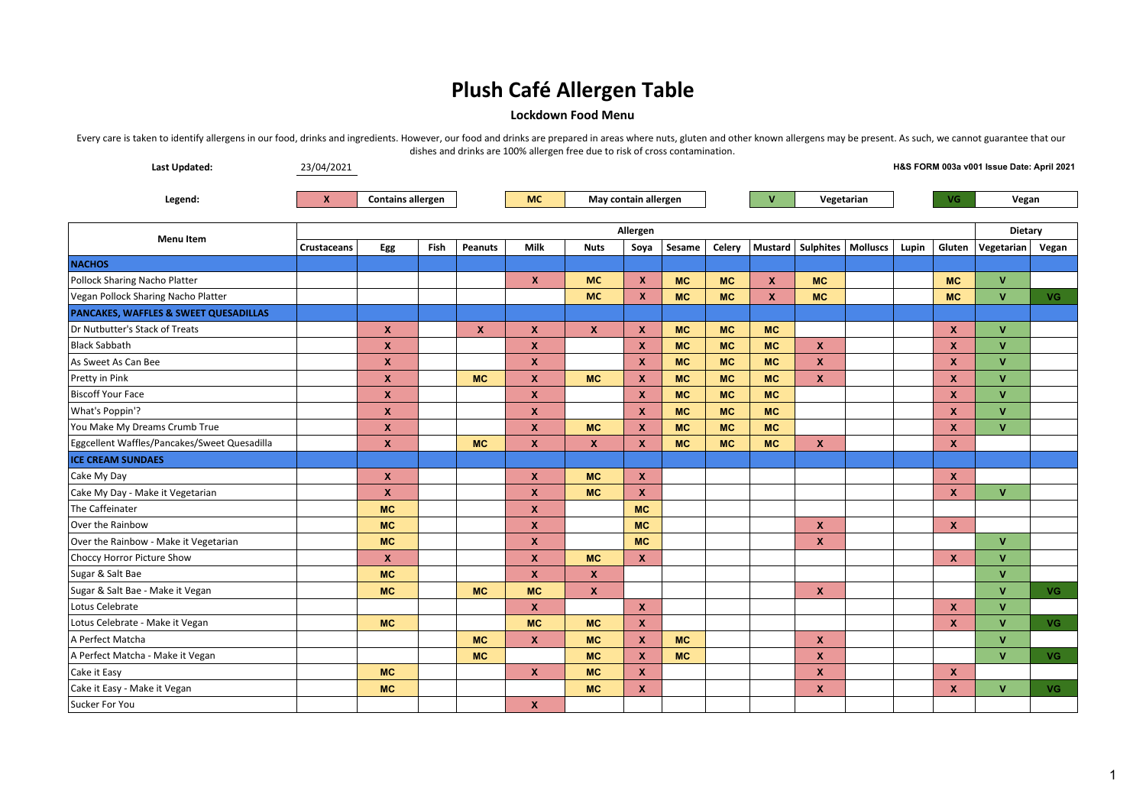### **Lockdown Food Menu**

| <b>Last Updated:</b>                         | 23/04/2021          |                           |             |                  |                           |              |                           |           |           |              |                                |  |       |                           | H&S FORM 003a v001 Issue Date: April 2021 |           |  |
|----------------------------------------------|---------------------|---------------------------|-------------|------------------|---------------------------|--------------|---------------------------|-----------|-----------|--------------|--------------------------------|--|-------|---------------------------|-------------------------------------------|-----------|--|
| Legend:                                      | $\mathbf{x}$        | <b>Contains allergen</b>  |             |                  | <b>MC</b>                 |              | May contain allergen      |           |           | V            | Vegetarian                     |  | VG.   |                           | Vegan                                     |           |  |
|                                              | Allergen<br>Dietary |                           |             |                  |                           |              |                           |           |           |              |                                |  |       |                           |                                           |           |  |
| <b>Menu Item</b>                             | <b>Crustaceans</b>  | Egg                       | <b>Fish</b> | <b>Peanuts</b>   | Milk                      | <b>Nuts</b>  | Soya                      | Sesame    | Celery    |              | Mustard   Sulphites   Molluscs |  | Lupin | Gluten                    | Vegetarian                                | Vegan     |  |
| <b>NACHOS</b>                                |                     |                           |             |                  |                           |              |                           |           |           |              |                                |  |       |                           |                                           |           |  |
| Pollock Sharing Nacho Platter                |                     |                           |             |                  | $\boldsymbol{x}$          | <b>MC</b>    | $\boldsymbol{x}$          | <b>MC</b> | <b>MC</b> | X            | <b>MC</b>                      |  |       | <b>MC</b>                 | $\mathsf{V}$                              |           |  |
| Vegan Pollock Sharing Nacho Platter          |                     |                           |             |                  |                           | <b>MC</b>    | $\boldsymbol{x}$          | <b>MC</b> | <b>MC</b> | $\mathbf{x}$ | <b>MC</b>                      |  |       | <b>MC</b>                 | $\mathbf{V}$                              | <b>VG</b> |  |
| PANCAKES, WAFFLES & SWEET QUESADILLAS        |                     |                           |             |                  |                           |              |                           |           |           |              |                                |  |       |                           |                                           |           |  |
| Dr Nutbutter's Stack of Treats               |                     | $\boldsymbol{\mathsf{x}}$ |             | $\boldsymbol{x}$ | $\boldsymbol{x}$          | $\mathbf{x}$ | $\boldsymbol{x}$          | <b>MC</b> | <b>MC</b> | <b>MC</b>    |                                |  |       | $\boldsymbol{\mathsf{x}}$ | $\mathbf{v}$                              |           |  |
| Black Sabbath                                |                     | $\boldsymbol{\mathsf{x}}$ |             |                  | $\boldsymbol{x}$          |              | $\boldsymbol{\mathsf{x}}$ | <b>MC</b> | <b>MC</b> | <b>MC</b>    | $\mathbf{x}$                   |  |       | $\mathbf{x}$              | $\mathbf{v}$                              |           |  |
| As Sweet As Can Bee                          |                     | $\boldsymbol{\mathsf{x}}$ |             |                  | $\boldsymbol{\mathsf{x}}$ |              | X                         | <b>MC</b> | <b>MC</b> | <b>MC</b>    | $\boldsymbol{\mathsf{x}}$      |  |       | X                         | $\mathbf{V}$                              |           |  |
| Pretty in Pink                               |                     | $\boldsymbol{\mathsf{x}}$ |             | <b>MC</b>        | $\boldsymbol{\mathsf{x}}$ | <b>MC</b>    | $\boldsymbol{x}$          | <b>MC</b> | <b>MC</b> | <b>MC</b>    | $\boldsymbol{\mathsf{x}}$      |  |       | $\mathbf{x}$              | $\mathbf{V}$                              |           |  |
| Biscoff Your Face                            |                     | $\boldsymbol{\mathsf{x}}$ |             |                  | $\boldsymbol{\mathsf{x}}$ |              | $\boldsymbol{x}$          | <b>MC</b> | <b>MC</b> | <b>MC</b>    |                                |  |       | $\mathbf{x}$              | $\mathbf{V}$                              |           |  |
| What's Poppin'?                              |                     | $\boldsymbol{\mathsf{x}}$ |             |                  | $\boldsymbol{\mathsf{x}}$ |              | $\boldsymbol{x}$          | <b>MC</b> | <b>MC</b> | <b>MC</b>    |                                |  |       | $\mathbf{x}$              | $\mathbf{v}$                              |           |  |
| You Make My Dreams Crumb True                |                     | $\boldsymbol{\mathsf{x}}$ |             |                  | $\boldsymbol{x}$          | <b>MC</b>    | $\boldsymbol{x}$          | <b>MC</b> | <b>MC</b> | <b>MC</b>    |                                |  |       | X                         | $\mathbf{V}$                              |           |  |
| Eggcellent Waffles/Pancakes/Sweet Quesadilla |                     | $\boldsymbol{\mathsf{x}}$ |             | <b>MC</b>        | $\boldsymbol{\mathsf{x}}$ | <b>X</b>     | $\boldsymbol{x}$          | <b>MC</b> | <b>MC</b> | <b>MC</b>    | $\boldsymbol{\mathsf{x}}$      |  |       | $\boldsymbol{\mathsf{x}}$ |                                           |           |  |
| <b>ICE CREAM SUNDAES</b>                     |                     |                           |             |                  |                           |              |                           |           |           |              |                                |  |       |                           |                                           |           |  |
| Cake My Day                                  |                     | $\boldsymbol{\mathsf{x}}$ |             |                  | $\boldsymbol{\mathsf{x}}$ | <b>MC</b>    | X                         |           |           |              |                                |  |       | $\boldsymbol{\mathsf{x}}$ |                                           |           |  |
| Cake My Day - Make it Vegetarian             |                     | $\boldsymbol{\mathsf{x}}$ |             |                  | $\boldsymbol{\mathsf{x}}$ | <b>MC</b>    | $\mathbf x$               |           |           |              |                                |  |       | $\boldsymbol{\mathsf{x}}$ | $\mathbf{V}$                              |           |  |
| The Caffeinater                              |                     | <b>MC</b>                 |             |                  | $\boldsymbol{\mathsf{x}}$ |              | <b>MC</b>                 |           |           |              |                                |  |       |                           |                                           |           |  |
| Over the Rainbow                             |                     | <b>MC</b>                 |             |                  | $\boldsymbol{\mathsf{x}}$ |              | <b>MC</b>                 |           |           |              | $\boldsymbol{\mathsf{x}}$      |  |       | $\boldsymbol{\mathsf{x}}$ |                                           |           |  |
| Over the Rainbow - Make it Vegetarian        |                     | <b>MC</b>                 |             |                  | $\boldsymbol{\mathsf{x}}$ |              | <b>MC</b>                 |           |           |              | $\boldsymbol{x}$               |  |       |                           | $\mathbf{V}$                              |           |  |
| Choccy Horror Picture Show                   |                     | $\boldsymbol{\mathsf{x}}$ |             |                  | $\boldsymbol{\mathsf{x}}$ | <b>MC</b>    | $\boldsymbol{x}$          |           |           |              |                                |  |       | $\mathbf x$               | $\mathbf{V}$                              |           |  |
| Sugar & Salt Bae                             |                     | <b>MC</b>                 |             |                  | $\boldsymbol{\mathsf{x}}$ | <b>X</b>     |                           |           |           |              |                                |  |       |                           | $\mathbf{V}$                              |           |  |
| Sugar & Salt Bae - Make it Vegan             |                     | <b>MC</b>                 |             | <b>MC</b>        | <b>MC</b>                 | <b>X</b>     |                           |           |           |              | $\mathbf{x}$                   |  |       |                           | $\mathbf{V}$                              | <b>VG</b> |  |
| Lotus Celebrate                              |                     |                           |             |                  | $\boldsymbol{\mathsf{x}}$ |              | $\boldsymbol{x}$          |           |           |              |                                |  |       | $\boldsymbol{\mathsf{x}}$ | $\mathbf{V}$                              |           |  |
| Lotus Celebrate - Make it Vegan              |                     | <b>MC</b>                 |             |                  | <b>MC</b>                 | <b>MC</b>    | $\mathbf{x}$              |           |           |              |                                |  |       | $\mathbf x$               | $\mathbf{v}$                              | <b>VG</b> |  |
| A Perfect Matcha                             |                     |                           |             | <b>MC</b>        | $\boldsymbol{\mathsf{x}}$ | <b>MC</b>    | $\boldsymbol{x}$          | <b>MC</b> |           |              | $\boldsymbol{\mathsf{x}}$      |  |       |                           | $\mathbf{V}$                              |           |  |
| A Perfect Matcha - Make it Vegan             |                     |                           |             | <b>MC</b>        |                           | <b>MC</b>    | $\boldsymbol{\mathsf{x}}$ | <b>MC</b> |           |              | $\boldsymbol{\mathsf{x}}$      |  |       |                           | $\mathbf{V}$                              | VG.       |  |
| Cake it Easy                                 |                     | <b>MC</b>                 |             |                  | $\mathbf{x}$              | <b>MC</b>    | $\boldsymbol{x}$          |           |           |              | $\boldsymbol{\mathsf{x}}$      |  |       | $\mathbf x$               |                                           |           |  |
| Cake it Easy - Make it Vegan                 |                     | <b>MC</b>                 |             |                  |                           | <b>MC</b>    | $\boldsymbol{x}$          |           |           |              | $\boldsymbol{\mathsf{x}}$      |  |       | X                         | $\mathbf{V}$                              | VG.       |  |
| Sucker For You                               |                     |                           |             |                  | $\boldsymbol{x}$          |              |                           |           |           |              |                                |  |       |                           |                                           |           |  |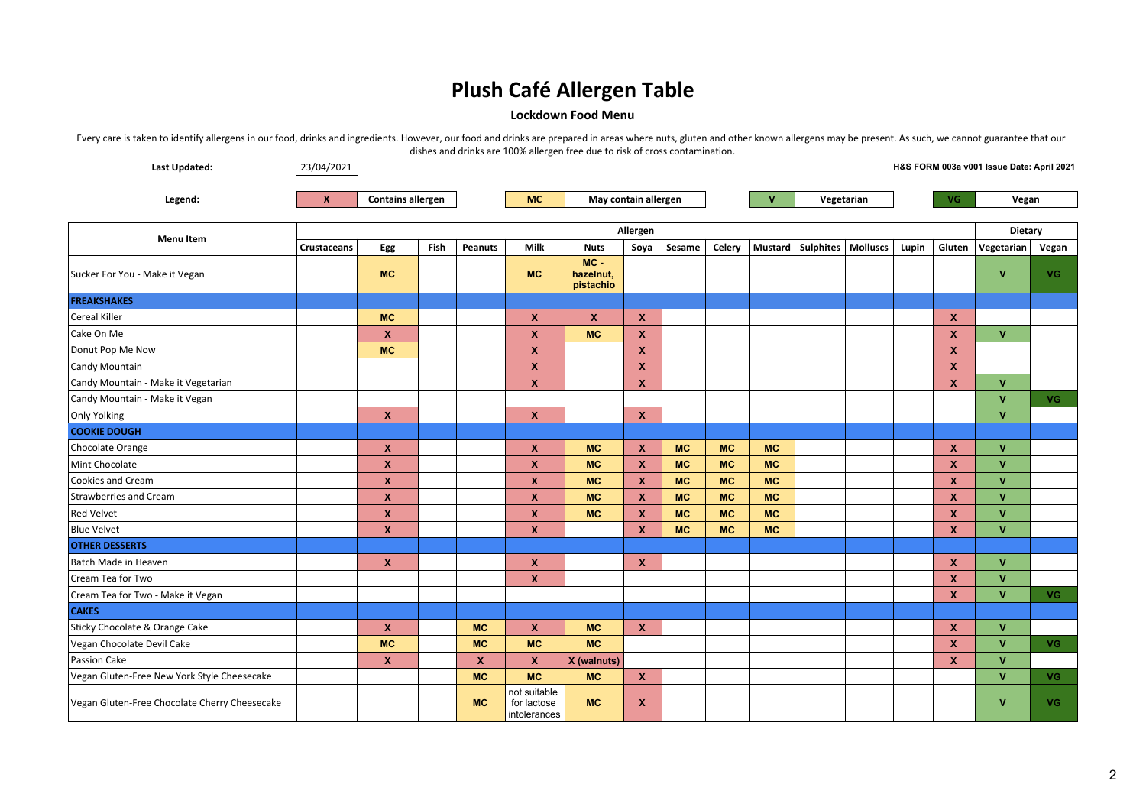### **Lockdown Food Menu**

| Last Updated:                                 | 23/04/2021  |                           |      |                  |                                             |                                  |                           |           |           |              |                     |          |         |                           | H&S FORM 003a v001 Issue Date: April 2021 |           |  |
|-----------------------------------------------|-------------|---------------------------|------|------------------|---------------------------------------------|----------------------------------|---------------------------|-----------|-----------|--------------|---------------------|----------|---------|---------------------------|-------------------------------------------|-----------|--|
| Legend:                                       | $\mathbf x$ | <b>Contains allergen</b>  |      |                  | <b>MC</b>                                   | May contain allergen             |                           |           |           | $\mathbf{V}$ | Vegetarian          |          |         |                           | <b>VG</b><br>Vegan                        |           |  |
|                                               |             |                           |      |                  |                                             |                                  |                           |           |           |              |                     |          |         |                           |                                           |           |  |
|                                               | Allergen    |                           |      |                  |                                             |                                  |                           |           |           |              |                     |          | Dietary |                           |                                           |           |  |
| <b>Menu Item</b>                              | Crustaceans | Egg                       | Fish | <b>Peanuts</b>   | Milk                                        | <b>Nuts</b>                      | Soya                      | Sesame    | Celery    |              | Mustard   Sulphites | Molluscs | Lupin   | Gluten                    | Vegetarian                                | Vegan     |  |
| Sucker For You - Make it Vegan                |             | <b>MC</b>                 |      |                  | <b>MC</b>                                   | $MC -$<br>hazelnut,<br>pistachio |                           |           |           |              |                     |          |         |                           | $\mathbf{v}$                              | VG.       |  |
| <b>FREAKSHAKES</b>                            |             |                           |      |                  |                                             |                                  |                           |           |           |              |                     |          |         |                           |                                           |           |  |
| Cereal Killer                                 |             | <b>MC</b>                 |      |                  | $\boldsymbol{\mathsf{x}}$                   | X                                | $\mathbf{x}$              |           |           |              |                     |          |         | $\mathbf{x}$              |                                           |           |  |
| Cake On Me                                    |             | $\boldsymbol{\mathsf{x}}$ |      |                  | $\boldsymbol{\mathsf{x}}$                   | <b>MC</b>                        | $\boldsymbol{\mathsf{x}}$ |           |           |              |                     |          |         | $\mathbf x$               | $\mathbf{V}$                              |           |  |
| Donut Pop Me Now                              |             | <b>MC</b>                 |      |                  | $\boldsymbol{\mathsf{x}}$                   |                                  | $\mathbf{x}$              |           |           |              |                     |          |         | $\boldsymbol{x}$          |                                           |           |  |
| Candy Mountain                                |             |                           |      |                  | $\boldsymbol{\mathsf{x}}$                   |                                  | X                         |           |           |              |                     |          |         | $\boldsymbol{x}$          |                                           |           |  |
| Candy Mountain - Make it Vegetarian           |             |                           |      |                  | $\boldsymbol{\mathsf{x}}$                   |                                  | $\boldsymbol{\mathsf{x}}$ |           |           |              |                     |          |         | $\boldsymbol{x}$          | $\mathbf{V}$                              |           |  |
| Candy Mountain - Make it Vegan                |             |                           |      |                  |                                             |                                  |                           |           |           |              |                     |          |         |                           | $\mathbf{V}$                              | <b>VG</b> |  |
| Only Yolking                                  |             | $\boldsymbol{\mathsf{x}}$ |      |                  | $\boldsymbol{\mathsf{x}}$                   |                                  | $\boldsymbol{\mathsf{x}}$ |           |           |              |                     |          |         |                           | $\mathbf{V}$                              |           |  |
| <b>COOKIE DOUGH</b>                           |             |                           |      |                  |                                             |                                  |                           |           |           |              |                     |          |         |                           |                                           |           |  |
| Chocolate Orange                              |             | $\mathbf{x}$              |      |                  | $\boldsymbol{\mathsf{x}}$                   | <b>MC</b>                        | $\boldsymbol{\mathsf{x}}$ | <b>MC</b> | <b>MC</b> | <b>MC</b>    |                     |          |         | $\boldsymbol{x}$          | $\mathbf{v}$                              |           |  |
| Mint Chocolate                                |             | $\mathbf x$               |      |                  | $\boldsymbol{\mathsf{x}}$                   | <b>MC</b>                        | $\boldsymbol{\mathsf{x}}$ | <b>MC</b> | <b>MC</b> | <b>MC</b>    |                     |          |         | X                         | $\mathbf{V}$                              |           |  |
| Cookies and Cream                             |             | $\boldsymbol{\mathsf{x}}$ |      |                  | $\boldsymbol{\mathsf{x}}$                   | <b>MC</b>                        | $\boldsymbol{\mathsf{x}}$ | <b>MC</b> | <b>MC</b> | <b>MC</b>    |                     |          |         | $\mathbf x$               | V                                         |           |  |
| Strawberries and Cream                        |             | $\boldsymbol{\mathsf{x}}$ |      |                  | $\boldsymbol{\mathsf{x}}$                   | <b>MC</b>                        | $\boldsymbol{\mathsf{x}}$ | <b>MC</b> | <b>MC</b> | <b>MC</b>    |                     |          |         | $\mathbf x$               | $\mathbf{V}$                              |           |  |
| <b>Red Velvet</b>                             |             | $\boldsymbol{\mathsf{x}}$ |      |                  | $\boldsymbol{\mathsf{x}}$                   | <b>MC</b>                        | $\boldsymbol{\mathsf{x}}$ | <b>MC</b> | <b>MC</b> | <b>MC</b>    |                     |          |         | $\mathbf{x}$              | $\mathbf{V}$                              |           |  |
| <b>Blue Velvet</b>                            |             | $\boldsymbol{\mathsf{x}}$ |      |                  | $\boldsymbol{x}$                            |                                  | $\boldsymbol{\mathsf{x}}$ | <b>MC</b> | <b>MC</b> | <b>MC</b>    |                     |          |         | $\boldsymbol{\mathsf{x}}$ | $\mathbf{V}$                              |           |  |
| <b>OTHER DESSERTS</b>                         |             |                           |      |                  |                                             |                                  |                           |           |           |              |                     |          |         |                           |                                           |           |  |
| Batch Made in Heaven                          |             | $\mathbf{x}$              |      |                  | $\boldsymbol{\mathsf{x}}$                   |                                  | $\mathbf{x}$              |           |           |              |                     |          |         | $\mathbf{x}$              | V                                         |           |  |
| Cream Tea for Two                             |             |                           |      |                  | $\boldsymbol{\mathsf{x}}$                   |                                  |                           |           |           |              |                     |          |         | $\boldsymbol{\mathsf{x}}$ | $\mathbf{V}$                              |           |  |
| Cream Tea for Two - Make it Vegan             |             |                           |      |                  |                                             |                                  |                           |           |           |              |                     |          |         | $\boldsymbol{x}$          | $\mathbf{V}$                              | VG.       |  |
| <b>CAKES</b>                                  |             |                           |      |                  |                                             |                                  |                           |           |           |              |                     |          |         |                           |                                           |           |  |
| Sticky Chocolate & Orange Cake                |             | $\mathbf{x}$              |      | <b>MC</b>        | $\boldsymbol{\mathsf{x}}$                   | <b>MC</b>                        | $\mathbf{x}$              |           |           |              |                     |          |         | $\boldsymbol{x}$          | $\mathbf{V}$                              |           |  |
| Vegan Chocolate Devil Cake                    |             | <b>MC</b>                 |      | <b>MC</b>        | <b>MC</b>                                   | <b>MC</b>                        |                           |           |           |              |                     |          |         | X                         | $\mathbf{v}$                              | VG.       |  |
| Passion Cake                                  |             | $\mathbf{x}$              |      | $\boldsymbol{x}$ | $\boldsymbol{x}$                            | X (walnuts)                      |                           |           |           |              |                     |          |         | $\mathbf{x}$              | $\mathbf{V}$                              |           |  |
| Vegan Gluten-Free New York Style Cheesecake   |             |                           |      | <b>MC</b>        | <b>MC</b>                                   | <b>MC</b>                        | $\mathbf{x}$              |           |           |              |                     |          |         |                           | $\mathbf{V}$                              | VG.       |  |
| Vegan Gluten-Free Chocolate Cherry Cheesecake |             |                           |      | <b>MC</b>        | not suitable<br>for lactose<br>intolerances | <b>MC</b>                        | $\boldsymbol{\mathsf{x}}$ |           |           |              |                     |          |         |                           | V                                         | VG.       |  |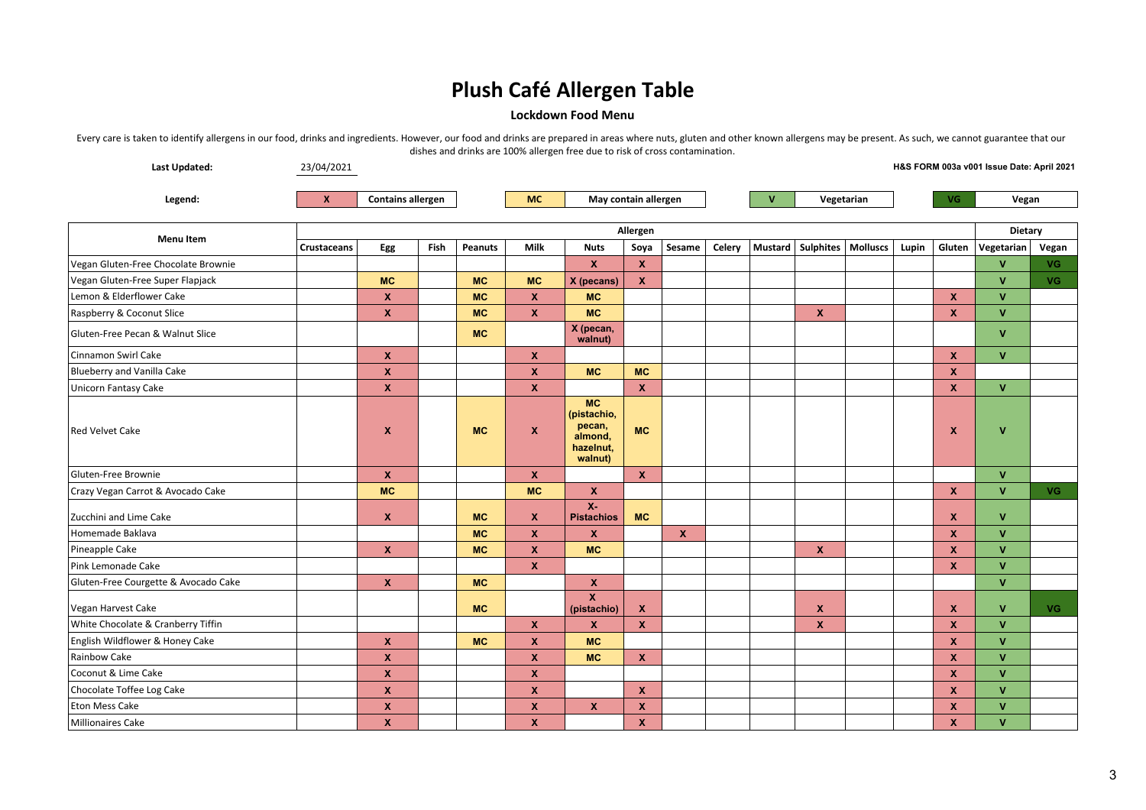#### **Lockdown Food Menu**

| Last Updated:                        | 23/04/2021<br>H&S FORM 003a v001 Issue Date: April 2021 |                           |  |           |                           |                                                                       |                           |             |              |            |                                |     |       |                           |              |           |
|--------------------------------------|---------------------------------------------------------|---------------------------|--|-----------|---------------------------|-----------------------------------------------------------------------|---------------------------|-------------|--------------|------------|--------------------------------|-----|-------|---------------------------|--------------|-----------|
| Legend:                              | $\mathbf{x}$                                            | <b>Contains allergen</b>  |  |           | <b>MC</b>                 | May contain allergen                                                  |                           |             | $\mathsf{V}$ | Vegetarian |                                | VG. |       | Vegan                     |              |           |
|                                      |                                                         |                           |  |           |                           |                                                                       | Allergen                  |             |              |            |                                |     |       | Dietary                   |              |           |
| <b>Menu Item</b>                     | <b>Crustaceans</b>                                      | Egg<br><b>Fish</b>        |  | Peanuts   | <b>Milk</b>               | <b>Nuts</b>                                                           | Soya                      | Sesame      | Celery       |            | Mustard   Sulphites   Molluscs |     | Lupin | Gluten                    | Vegetarian   | Vegan     |
| Vegan Gluten-Free Chocolate Brownie  |                                                         |                           |  |           |                           | $\mathbf{x}$                                                          | $\boldsymbol{\mathsf{x}}$ |             |              |            |                                |     |       |                           | $\mathbf{v}$ | VG.       |
| Vegan Gluten-Free Super Flapjack     |                                                         | <b>MC</b>                 |  | <b>MC</b> | <b>MC</b>                 | X (pecans)                                                            | $\mathbf x$               |             |              |            |                                |     |       |                           | $\mathbf{V}$ | VG.       |
| Lemon & Elderflower Cake             |                                                         | $\mathbf{x}$              |  | <b>MC</b> | $\boldsymbol{\mathsf{x}}$ | <b>MC</b>                                                             |                           |             |              |            |                                |     |       | $\mathbf{x}$              | $\mathbf{v}$ |           |
| Raspberry & Coconut Slice            |                                                         | $\boldsymbol{\mathsf{x}}$ |  | <b>MC</b> | $\boldsymbol{\mathsf{x}}$ | <b>MC</b>                                                             |                           |             |              |            | $\boldsymbol{\mathsf{x}}$      |     |       | $\boldsymbol{x}$          | $\mathbf{V}$ |           |
| Gluten-Free Pecan & Walnut Slice     |                                                         |                           |  | <b>MC</b> |                           | X (pecan,<br>walnut)                                                  |                           |             |              |            |                                |     |       |                           | $\mathbf{V}$ |           |
| Cinnamon Swirl Cake                  |                                                         | $\boldsymbol{\mathsf{x}}$ |  |           | $\boldsymbol{\mathsf{x}}$ |                                                                       |                           |             |              |            |                                |     |       | $\boldsymbol{x}$          | $\mathbf{V}$ |           |
| Blueberry and Vanilla Cake           |                                                         | $\boldsymbol{\mathsf{x}}$ |  |           | $\boldsymbol{\mathsf{x}}$ | <b>MC</b>                                                             | <b>MC</b>                 |             |              |            |                                |     |       | $\boldsymbol{x}$          |              |           |
| <b>Unicorn Fantasy Cake</b>          |                                                         | $\boldsymbol{\mathsf{x}}$ |  |           | $\boldsymbol{\mathsf{x}}$ |                                                                       | $\mathbf x$               |             |              |            |                                |     |       | $\mathbf{x}$              | $\mathbf{V}$ |           |
| <b>Red Velvet Cake</b>               |                                                         | X                         |  | <b>MC</b> | $\pmb{\chi}$              | <b>MC</b><br>(pistachio,<br>pecan,<br>almond,<br>hazelnut,<br>walnut) | <b>MC</b>                 |             |              |            |                                |     |       | X                         | $\mathbf{V}$ |           |
| Gluten-Free Brownie                  |                                                         | $\mathbf{x}$              |  |           | $\boldsymbol{\mathsf{x}}$ |                                                                       | $\mathbf{x}$              |             |              |            |                                |     |       |                           | $\mathbf{V}$ |           |
| Crazy Vegan Carrot & Avocado Cake    |                                                         | <b>MC</b>                 |  |           | <b>MC</b>                 | $\mathbf{x}$                                                          |                           |             |              |            |                                |     |       | X                         | $\mathbf{V}$ | <b>VG</b> |
| Zucchini and Lime Cake               |                                                         | $\mathbf{x}$              |  | <b>MC</b> | $\mathbf{x}$              | $X -$<br><b>Pistachios</b>                                            | <b>MC</b>                 |             |              |            |                                |     |       | X                         | $\mathbf{V}$ |           |
| Homemade Baklava                     |                                                         |                           |  | <b>MC</b> | $\boldsymbol{\mathsf{x}}$ | <b>X</b>                                                              |                           | $\mathbf x$ |              |            |                                |     |       | $\mathbf{x}$              | $\mathbf{V}$ |           |
| Pineapple Cake                       |                                                         | $\mathbf{x}$              |  | <b>MC</b> | $\boldsymbol{\mathsf{x}}$ | <b>MC</b>                                                             |                           |             |              |            | $\boldsymbol{\mathsf{x}}$      |     |       | $\mathbf{x}$              | $\mathbf{V}$ |           |
| Pink Lemonade Cake                   |                                                         |                           |  |           | $\mathbf x$               |                                                                       |                           |             |              |            |                                |     |       | $\boldsymbol{x}$          | $\mathbf{V}$ |           |
| Gluten-Free Courgette & Avocado Cake |                                                         | $\mathbf{x}$              |  | <b>MC</b> |                           | $\mathbf{x}$                                                          |                           |             |              |            |                                |     |       |                           | $\mathbf{V}$ |           |
| Vegan Harvest Cake                   |                                                         |                           |  | <b>MC</b> |                           | $\mathbf{x}$<br>(pistachio)                                           | $\boldsymbol{\mathsf{x}}$ |             |              |            | $\boldsymbol{\mathsf{x}}$      |     |       | X                         | $\mathbf{v}$ | <b>VG</b> |
| White Chocolate & Cranberry Tiffin   |                                                         |                           |  |           | $\boldsymbol{\mathsf{x}}$ | $\mathbf{x}$                                                          | $\mathbf{x}$              |             |              |            | $\boldsymbol{\mathsf{x}}$      |     |       | $\mathbf{x}$              | $\mathbf{V}$ |           |
| English Wildflower & Honey Cake      |                                                         | $\mathbf{x}$              |  | <b>MC</b> | $\boldsymbol{\mathsf{x}}$ | <b>MC</b>                                                             |                           |             |              |            |                                |     |       | $\mathbf{x}$              | $\mathbf{V}$ |           |
| Rainbow Cake                         |                                                         | X                         |  |           | $\pmb{\mathsf{x}}$        | <b>MC</b>                                                             | X                         |             |              |            |                                |     |       | $\boldsymbol{x}$          | $\mathbf{V}$ |           |
| Coconut & Lime Cake                  |                                                         | $\boldsymbol{\mathsf{x}}$ |  |           | $\boldsymbol{\mathsf{x}}$ |                                                                       |                           |             |              |            |                                |     |       | $\boldsymbol{x}$          | $\mathbf{V}$ |           |
| Chocolate Toffee Log Cake            |                                                         | $\boldsymbol{\mathsf{x}}$ |  |           | $\boldsymbol{\mathsf{x}}$ |                                                                       | $\boldsymbol{x}$          |             |              |            |                                |     |       | $\mathbf x$               | <b>V</b>     |           |
| Eton Mess Cake                       |                                                         | $\mathbf{x}$              |  |           | $\boldsymbol{\mathsf{x}}$ | $\mathbf{x}$                                                          | $\boldsymbol{\mathsf{x}}$ |             |              |            |                                |     |       | $\boldsymbol{\mathsf{x}}$ | $\mathbf{V}$ |           |
| Millionaires Cake                    |                                                         | $\boldsymbol{\mathsf{x}}$ |  |           | $\boldsymbol{x}$          |                                                                       | $\boldsymbol{x}$          |             |              |            |                                |     |       | $\boldsymbol{\mathsf{x}}$ | $\mathbf{V}$ |           |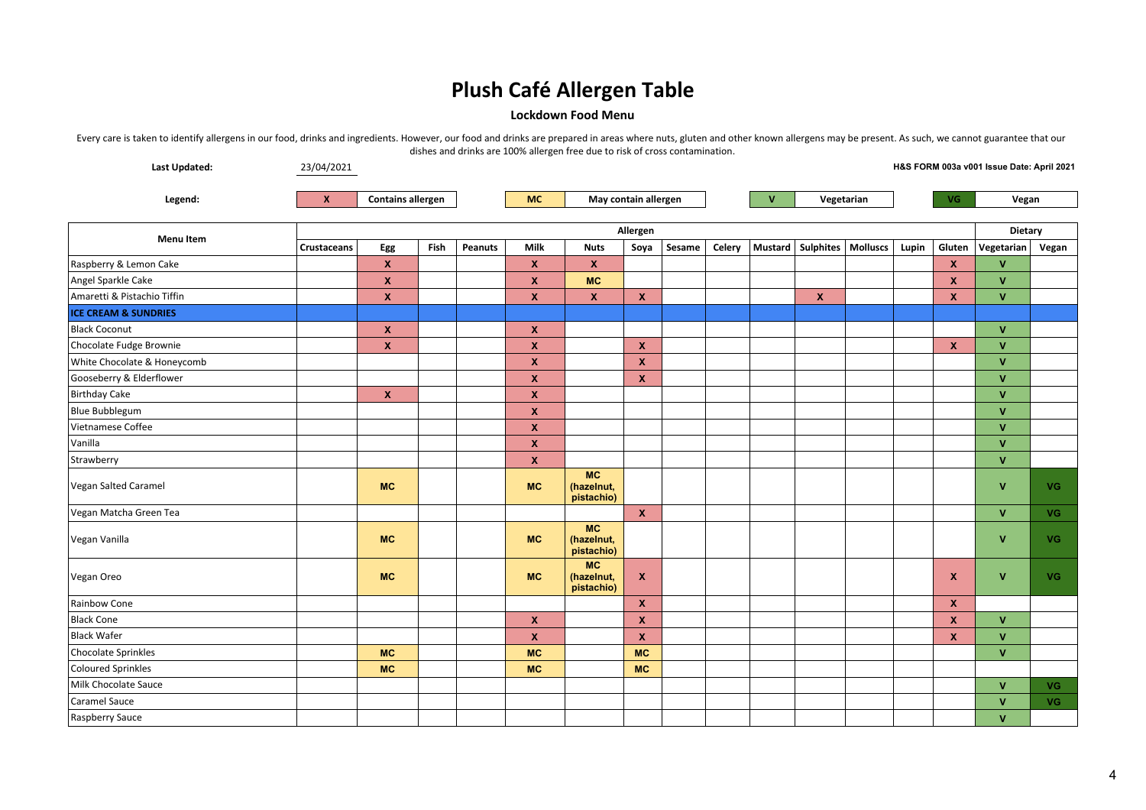### **Lockdown Food Menu**

| Last Updated:                   | 23/04/2021         |                           |      |         |                           |                                       |                           |        |        |              |                                |     |       |                           | H&S FORM 003a v001 Issue Date: April 2021 |           |  |
|---------------------------------|--------------------|---------------------------|------|---------|---------------------------|---------------------------------------|---------------------------|--------|--------|--------------|--------------------------------|-----|-------|---------------------------|-------------------------------------------|-----------|--|
| Legend:                         | $\mathbf{x}$       | <b>Contains allergen</b>  |      |         | <b>MC</b>                 | May contain allergen                  |                           |        |        | $\mathbf{V}$ | Vegetarian                     | VG. |       | Vegan                     |                                           |           |  |
|                                 |                    | Allergen                  |      |         |                           |                                       |                           |        |        |              |                                |     |       |                           | Dietary                                   |           |  |
| <b>Menu Item</b>                | <b>Crustaceans</b> | Egg                       | Fish | Peanuts | Milk                      | <b>Nuts</b>                           | Soya                      | Sesame | Celery |              | Mustard   Sulphites   Molluscs |     | Lupin | Gluten                    | Vegetarian                                | Vegan     |  |
| Raspberry & Lemon Cake          |                    | <b>X</b>                  |      |         | $\pmb{\mathsf{x}}$        | $\mathbf{x}$                          |                           |        |        |              |                                |     |       | $\mathbf{x}$              | $\mathsf{v}$                              |           |  |
| Angel Sparkle Cake              |                    | X                         |      |         | $\boldsymbol{x}$          | <b>MC</b>                             |                           |        |        |              |                                |     |       | X                         | $\mathbf{V}$                              |           |  |
| Amaretti & Pistachio Tiffin     |                    | $\mathbf x$               |      |         | $\pmb{\mathsf{x}}$        | $\mathbf{x}$                          | $\pmb{\chi}$              |        |        |              | $\pmb{\mathsf{X}}$             |     |       | $\boldsymbol{x}$          | <b>V</b>                                  |           |  |
| <b>ICE CREAM &amp; SUNDRIES</b> |                    |                           |      |         |                           |                                       |                           |        |        |              |                                |     |       |                           |                                           |           |  |
| <b>Black Coconut</b>            |                    | $\boldsymbol{\mathsf{x}}$ |      |         | $\boldsymbol{\mathsf{x}}$ |                                       |                           |        |        |              |                                |     |       |                           | $\mathbf{V}$                              |           |  |
| Chocolate Fudge Brownie         |                    | $\boldsymbol{x}$          |      |         | $\pmb{\mathsf{x}}$        |                                       | $\mathbf{x}$              |        |        |              |                                |     |       | $\mathbf{x}$              | $\mathbf{V}$                              |           |  |
| White Chocolate & Honeycomb     |                    |                           |      |         | $\boldsymbol{x}$          |                                       | $\boldsymbol{\mathsf{x}}$ |        |        |              |                                |     |       |                           | $\mathbf{V}$                              |           |  |
| Gooseberry & Elderflower        |                    |                           |      |         | $\pmb{\mathsf{x}}$        |                                       | $\boldsymbol{\mathsf{x}}$ |        |        |              |                                |     |       |                           | $\mathbf{V}$                              |           |  |
| <b>Birthday Cake</b>            |                    | $\mathbf{x}$              |      |         | $\pmb{\mathsf{x}}$        |                                       |                           |        |        |              |                                |     |       |                           | <b>V</b>                                  |           |  |
| Blue Bubblegum                  |                    |                           |      |         | $\pmb{\mathsf{x}}$        |                                       |                           |        |        |              |                                |     |       |                           | $\mathbf{V}$                              |           |  |
| Vietnamese Coffee               |                    |                           |      |         | $\pmb{\mathsf{x}}$        |                                       |                           |        |        |              |                                |     |       |                           | $\mathbf{V}$                              |           |  |
| Vanilla                         |                    |                           |      |         | $\boldsymbol{\mathsf{x}}$ |                                       |                           |        |        |              |                                |     |       |                           | $\mathbf{v}$                              |           |  |
| Strawberry                      |                    |                           |      |         | $\pmb{\mathsf{x}}$        |                                       |                           |        |        |              |                                |     |       |                           | $\mathbf{V}$                              |           |  |
| Vegan Salted Caramel            |                    | <b>MC</b>                 |      |         | <b>MC</b>                 | <b>MC</b><br>(hazelnut,<br>pistachio) |                           |        |        |              |                                |     |       |                           | $\mathbf{V}$                              | <b>VG</b> |  |
| Vegan Matcha Green Tea          |                    |                           |      |         |                           |                                       | $\mathbf{x}$              |        |        |              |                                |     |       |                           | $\mathbf{V}$                              | <b>VG</b> |  |
| Vegan Vanilla                   |                    | <b>MC</b>                 |      |         | <b>MC</b>                 | <b>MC</b><br>(hazelnut,<br>pistachio) |                           |        |        |              |                                |     |       |                           | $\mathbf{V}$                              | VG.       |  |
| Vegan Oreo                      |                    | <b>MC</b>                 |      |         | <b>MC</b>                 | <b>MC</b><br>(hazelnut,<br>pistachio) | $\boldsymbol{\mathsf{x}}$ |        |        |              |                                |     |       | $\mathbf x$               | $\mathbf{V}$                              | VG.       |  |
| Rainbow Cone                    |                    |                           |      |         |                           |                                       | $\boldsymbol{\mathsf{x}}$ |        |        |              |                                |     |       | $\mathbf{x}$              |                                           |           |  |
| <b>Black Cone</b>               |                    |                           |      |         | $\boldsymbol{\mathsf{x}}$ |                                       | $\boldsymbol{\mathsf{x}}$ |        |        |              |                                |     |       | X                         | $\mathbf{V}$                              |           |  |
| <b>Black Wafer</b>              |                    |                           |      |         | $\boldsymbol{\mathsf{x}}$ |                                       | $\boldsymbol{\mathsf{X}}$ |        |        |              |                                |     |       | $\boldsymbol{\mathsf{x}}$ | $\mathbf{V}$                              |           |  |
| <b>Chocolate Sprinkles</b>      |                    | <b>MC</b>                 |      |         | <b>MC</b>                 |                                       | <b>MC</b>                 |        |        |              |                                |     |       |                           | <b>V</b>                                  |           |  |
| <b>Coloured Sprinkles</b>       |                    | <b>MC</b>                 |      |         | MC                        |                                       | <b>MC</b>                 |        |        |              |                                |     |       |                           |                                           |           |  |
| Milk Chocolate Sauce            |                    |                           |      |         |                           |                                       |                           |        |        |              |                                |     |       |                           | $\mathbf{V}$                              | <b>VG</b> |  |
| <b>Caramel Sauce</b>            |                    |                           |      |         |                           |                                       |                           |        |        |              |                                |     |       |                           | v                                         | VG.       |  |
| Raspberry Sauce                 |                    |                           |      |         |                           |                                       |                           |        |        |              |                                |     |       |                           | $\mathbf{V}$                              |           |  |